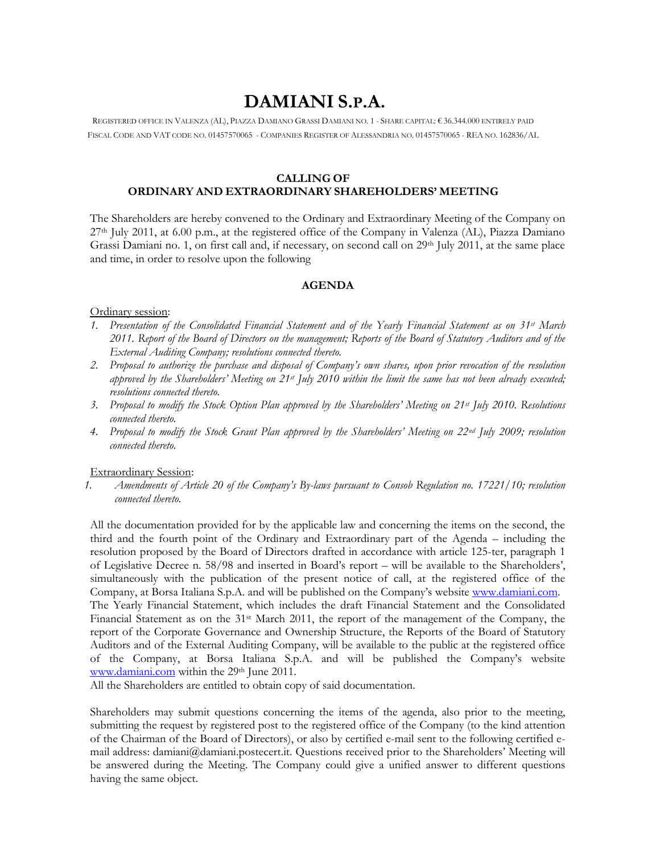# **DAMIANI S.P.A.**

REGISTERED OFFICE IN VALENZA (AL), PIAZZA DAMIANO GRASSI DAMIANI NO. 1 - SHARE CAPITAL: € 36.344.000 ENTIRELY PAID FISCAL CODE AND VAT CODE NO. 01457570065 - COMPANIES REGISTER OF ALESSANDRIA NO. 01457570065 - REA NO. 162836/AL

#### **CALLING OF ORDINARY AND EXTRAORDINARY SHAREHOLDERS' MEETING**

The Shareholders are hereby convened to the Ordinary and Extraordinary Meeting of the Company on 27th July 2011, at 6.00 p.m., at the registered office of the Company in Valenza (AL), Piazza Damiano Grassi Damiani no. 1, on first call and, if necessary, on second call on 29<sup>th</sup> July 2011, at the same place and time, in order to resolve upon the following

## **AGENDA**

## Ordinary session:

- *1. Presentation of the Consolidated Financial Statement and of the Yearly Financial Statement as on 31st March 2011. Report of the Board of Directors on the management; Reports of the Board of Statutory Auditors and of the External Auditing Company; resolutions connected thereto.*
- *2. Proposal to authorize the purchase and disposal of Company's own shares, upon prior revocation of the resolution approved by the Shareholders' Meeting on 21st July 2010 within the limit the same has not been already executed; resolutions connected thereto.*
- *3. Proposal to modify the Stock Option Plan approved by the Shareholders' Meeting on 21st July 2010. Resolutions connected thereto.*
- *4. Proposal to modify the Stock Grant Plan approved by the Shareholders' Meeting on 22nd July 2009; resolution connected thereto.*

#### Extraordinary Session:

*1. Amendments of Article 20 of the Company's By-laws pursuant to Consob Regulation no. 17221/10; resolution connected thereto.* 

All the documentation provided for by the applicable law and concerning the items on the second, the third and the fourth point of the Ordinary and Extraordinary part of the Agenda – including the resolution proposed by the Board of Directors drafted in accordance with article 125-ter, paragraph 1 of Legislative Decree n. 58/98 and inserted in Board's report – will be available to the Shareholders', simultaneously with the publication of the present notice of call, at the registered office of the Company, at Borsa Italiana S.p.A. and will be published on the Company's website [www.damiani.com.](http://www.damiani.com/) The Yearly Financial Statement, which includes the draft Financial Statement and the Consolidated Financial Statement as on the 31<sup>st</sup> March 2011, the report of the management of the Company, the report of the Corporate Governance and Ownership Structure, the Reports of the Board of Statutory Auditors and of the External Auditing Company, will be available to the public at the registered office of the Company, at Borsa Italiana S.p.A. and will be published the Company's website [www.damiani.com](http://www.damiani.com/) within the 29<sup>th</sup> June 2011.

All the Shareholders are entitled to obtain copy of said documentation.

Shareholders may submit questions concerning the items of the agenda, also prior to the meeting, submitting the request by registered post to the registered office of the Company (to the kind attention of the Chairman of the Board of Directors), or also by certified e-mail sent to the following certified email address: damiani@damiani.postecert.it. Questions received prior to the Shareholders' Meeting will be answered during the Meeting. The Company could give a unified answer to different questions having the same object.